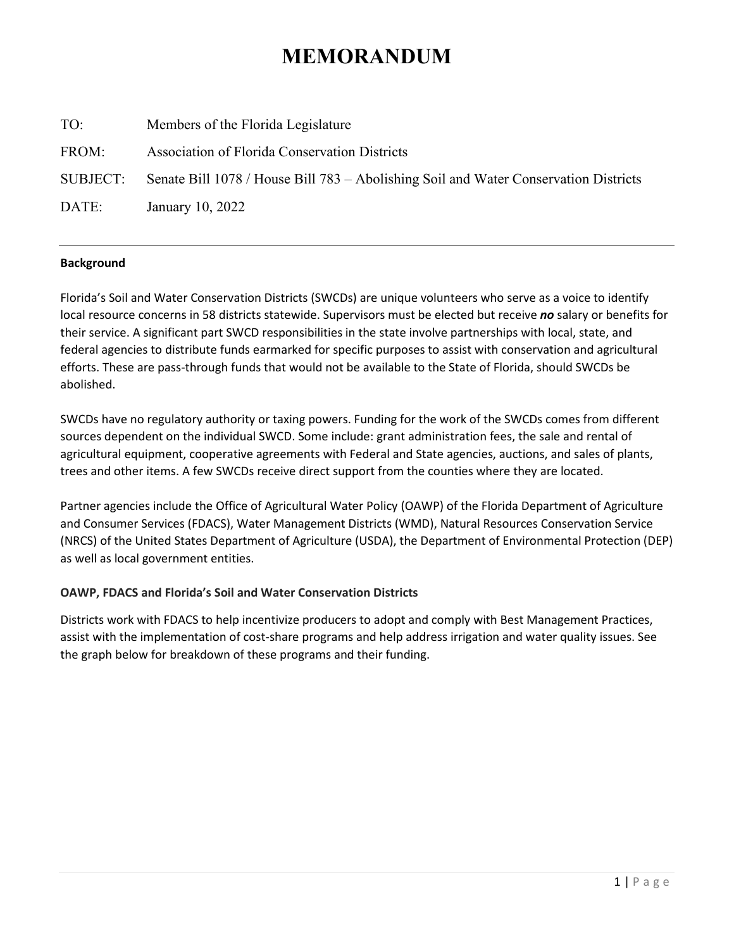# **MEMORANDUM**

| TO:      | Members of the Florida Legislature                                                   |
|----------|--------------------------------------------------------------------------------------|
| FROM:    | <b>Association of Florida Conservation Districts</b>                                 |
| SUBJECT: | Senate Bill 1078 / House Bill 783 – Abolishing Soil and Water Conservation Districts |
| DATE:    | January 10, 2022                                                                     |
|          |                                                                                      |

## **Background**

Florida's Soil and Water Conservation Districts (SWCDs) are unique volunteers who serve as a voice to identify local resource concerns in 58 districts statewide. Supervisors must be elected but receive *no* salary or benefits for their service. A significant part SWCD responsibilities in the state involve partnerships with local, state, and federal agencies to distribute funds earmarked for specific purposes to assist with conservation and agricultural efforts. These are pass-through funds that would not be available to the State of Florida, should SWCDs be abolished.

SWCDs have no regulatory authority or taxing powers. Funding for the work of the SWCDs comes from different sources dependent on the individual SWCD. Some include: grant administration fees, the sale and rental of agricultural equipment, cooperative agreements with Federal and State agencies, auctions, and sales of plants, trees and other items. A few SWCDs receive direct support from the counties where they are located.

Partner agencies include the Office of Agricultural Water Policy (OAWP) of the Florida Department of Agriculture and Consumer Services (FDACS), Water Management Districts (WMD), Natural Resources Conservation Service (NRCS) of the United States Department of Agriculture (USDA), the Department of Environmental Protection (DEP) as well as local government entities.

# **OAWP, FDACS and Florida's Soil and Water Conservation Districts**

Districts work with FDACS to help incentivize producers to adopt and comply with Best Management Practices, assist with the implementation of cost-share programs and help address irrigation and water quality issues. See the graph below for breakdown of these programs and their funding.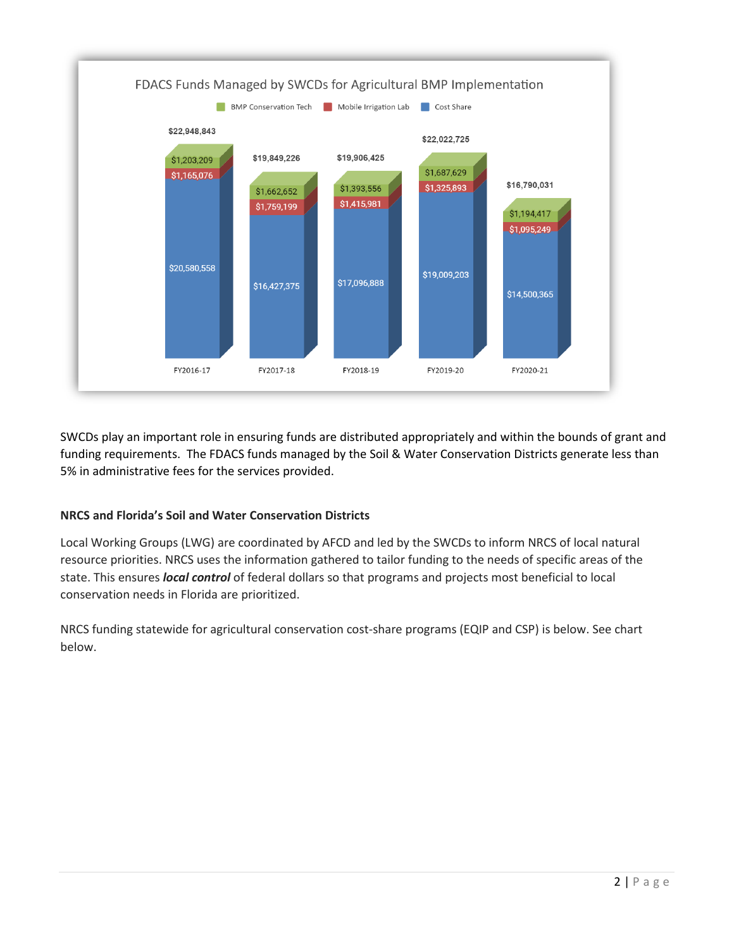

SWCDs play an important role in ensuring funds are distributed appropriately and within the bounds of grant and funding requirements. The FDACS funds managed by the Soil & Water Conservation Districts generate less than 5% in administrative fees for the services provided.

# **NRCS and Florida's Soil and Water Conservation Districts**

Local Working Groups (LWG) are coordinated by AFCD and led by the SWCDs to inform NRCS of local natural resource priorities. NRCS uses the information gathered to tailor funding to the needs of specific areas of the state. This ensures *local control* of federal dollars so that programs and projects most beneficial to local conservation needs in Florida are prioritized.

NRCS funding statewide for agricultural conservation cost-share programs (EQIP and CSP) is below. See chart below.